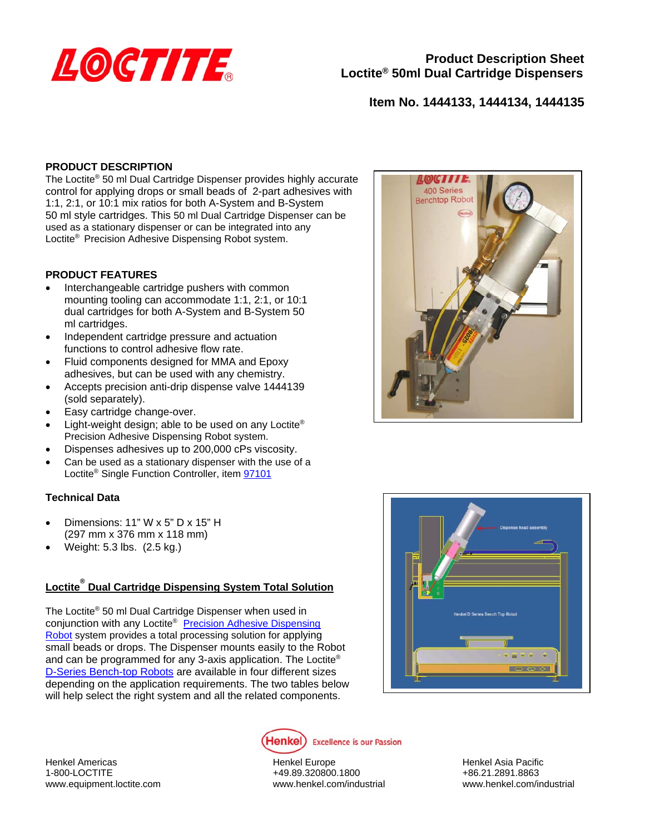

# **Item No. 1444133, 1444134, 1444135**

### **PRODUCT DESCRIPTION**

The Loctite® 50 ml Dual Cartridge Dispenser provides highly accurate control for applying drops or small beads of 2-part adhesives with 1:1, 2:1, or 10:1 mix ratios for both A-System and B-System 50 ml style cartridges. This 50 ml Dual Cartridge Dispenser can be used as a stationary dispenser or can be integrated into any Loctite® Precision Adhesive Dispensing Robot system.

## **PRODUCT FEATURES**

- Interchangeable cartridge pushers with common mounting tooling can accommodate 1:1, 2:1, or 10:1 dual cartridges for both A-System and B-System 50 ml cartridges.
- Independent cartridge pressure and actuation functions to control adhesive flow rate.
- Fluid components designed for MMA and Epoxy adhesives, but can be used with any chemistry.
- Accepts precision anti-drip dispense valve 1444139 (sold separately).
- Easy cartridge change-over.
- Light-weight design; able to be used on any Loctite® Precision Adhesive Dispensing Robot system.
- Dispenses adhesives up to 200,000 cPs viscosity.
- Can be used as a stationary dispenser with the use of a Loctite® Single Function Controller, item 97101

#### **Technical Data**

- Dimensions: 11" W x 5" D x 15" H (297 mm x 376 mm x 118 mm)
- Weight: 5.3 lbs. (2.5 kg.)

# **Loctite® Dual Cartridge Dispensing System Total Solution**

The Loctite® 50 ml Dual Cartridge Dispenser when used in conjunction with any Loctite<sup>®</sup> Precision Adhesive Dispensing Robot system provides a total processing solution for applying small beads or drops. The Dispenser mounts easily to the Robot and can be programmed for any 3-axis application. The Loctite® D-Series Bench-top Robots are available in four different sizes depending on the application requirements. The two tables below will help select the right system and all the related components.







Henkel Americas Henkel Europe Henkel Asia Pacific

1-800-LOCTITE +49.89.320800.1800 +49.89.320800.1800 +86.21.2891.8863 www.equipment.loctite.com www.henkel.com/industrial www.henkel.com/industrial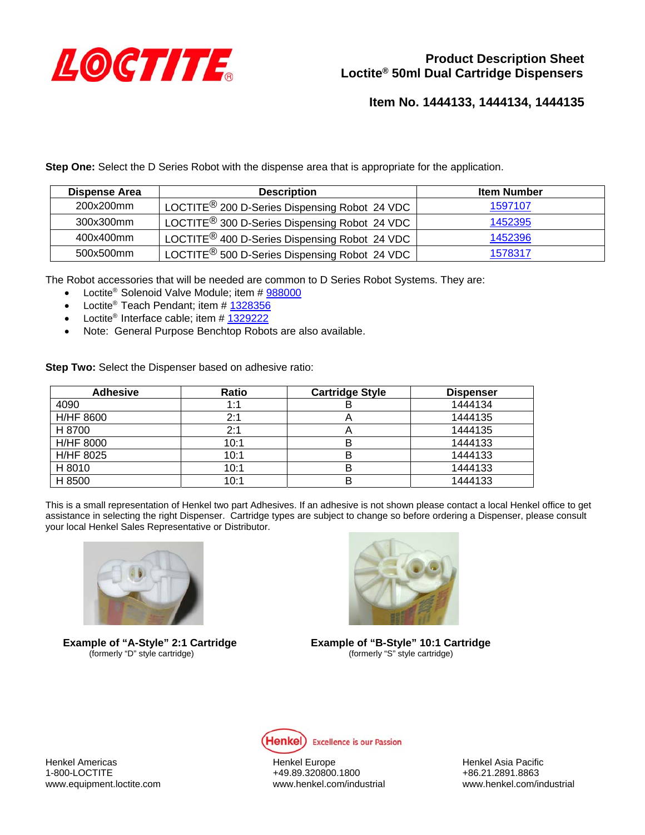

**Item No. 1444133, 1444134, 1444135** 

**Step One:** Select the D Series Robot with the dispense area that is appropriate for the application.

| Dispense Area | <b>Description</b>                                                     | <b>Item Number</b> |
|---------------|------------------------------------------------------------------------|--------------------|
| 200x200mm     | LOCTITE $^{\circledR}$ 200 D-Series Dispensing Robot 24 VDC $^+$       | 1597107            |
| 300x300mm     | LOCTITE <sup>®</sup> 300 D-Series Dispensing Robot 24 VDC              | 1452395            |
| 400x400mm     | LOCTITE <sup>®</sup> 400 D-Series Dispensing Robot 24 VDC <sup>1</sup> | 1452396            |
| 500x500mm     | LOCTITE <sup>®</sup> 500 D-Series Dispensing Robot 24 VDC              | 1578317            |

The Robot accessories that will be needed are common to D Series Robot Systems. They are:

- Loctite<sup>®</sup> Solenoid Valve Module; item # 988000
- Loctite<sup>®</sup> Teach Pendant; item # 1328356
- Loctite<sup>®</sup> Interface cable; item  $# 1329222$
- Note: General Purpose Benchtop Robots are also available.

**Step Two:** Select the Dispenser based on adhesive ratio:

| <b>Adhesive</b>  | Ratio | <b>Cartridge Style</b> | <b>Dispenser</b> |
|------------------|-------|------------------------|------------------|
| 4090             | 1:1   | в                      | 1444134          |
| <b>H/HF 8600</b> | 2:1   |                        | 1444135          |
| H 8700           | 2:1   |                        | 1444135          |
| <b>H/HF 8000</b> | 10:1  | B                      | 1444133          |
| H/HF 8025        | 10:1  | в                      | 1444133          |
| H 8010           | 10:1  | в                      | 1444133          |
| H 8500           | 10:1  | B                      | 1444133          |

This is a small representation of Henkel two part Adhesives. If an adhesive is not shown please contact a local Henkel office to get assistance in selecting the right Dispenser. Cartridge types are subject to change so before ordering a Dispenser, please consult your local Henkel Sales Representative or Distributor.



(formerly "D" style cartridge)



**Example of "A-Style" 2:1 Cartridge** <br>(formerly "D" style cartridge) **Example of "B-Style" 10:1 Cartridge** (formerly "D" style cartridge)



Henkel Americas Henkel Europe Henkel Asia Pacific

1-800-LOCTITE +49.89.320800.1800 www.equipment.loctite.com www.henkel.com/industrial www.henkel.com/industrial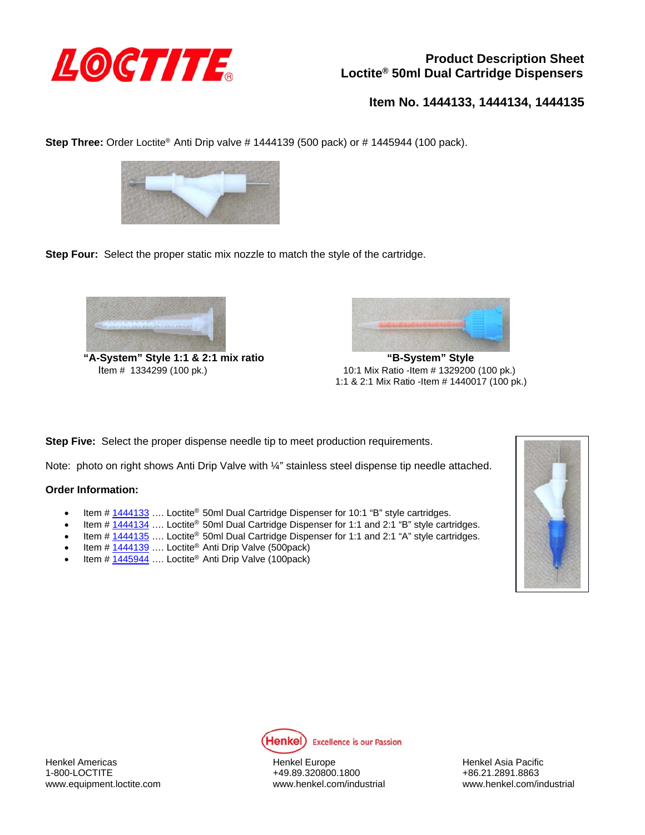

# **Product Description Sheet Loctite® 50ml Dual Cartridge Dispensers**

**Item No. 1444133, 1444134, 1444135** 

**Step Three:** Order Loctite<sup>®</sup> Anti Drip valve # 1444139 (500 pack) or # 1445944 (100 pack).



**Step Four:** Select the proper static mix nozzle to match the style of the cartridge.



**"A-System" Style 1:1 & 2:1 mix ratio "B-System" Style** 



 Item # 1334299 (100 pk.) 10:1 Mix Ratio -Item # 1329200 (100 pk.) 1:1 & 2:1 Mix Ratio -Item # 1440017 (100 pk.)

**Step Five:** Select the proper dispense needle tip to meet production requirements.

Note: photo on right shows Anti Drip Valve with ¼" stainless steel dispense tip needle attached.

#### **Order Information:**

- **Item #**  $1444133$  .... Loctite<sup>®</sup> 50ml Dual Cartridge Dispenser for 10:1 "B" style cartridges.
- Item  $\#\sqrt{1444134}$  .... Loctite<sup>®</sup> 50ml Dual Cartridge Dispenser for 1:1 and 2:1 "B" style cartridges.
- **Item # 1444135** .... Loctite<sup>®</sup> 50ml Dual Cartridge Dispenser for 1:1 and 2:1 "A" style cartridges.
- Item # 1444139 …. Loctite® Anti Drip Valve (500pack)
- Item # 1445944 .... Loctite<sup>®</sup> Anti Drip Valve (100pack)





Henkel Americas Henkel Europe Henkel Asia Pacific

1-800-LOCTITE +49.89.320800.1800 +86.21.2891.8863 www.equipment.loctite.com www.henkel.com/industrial www.henkel.com/industrial